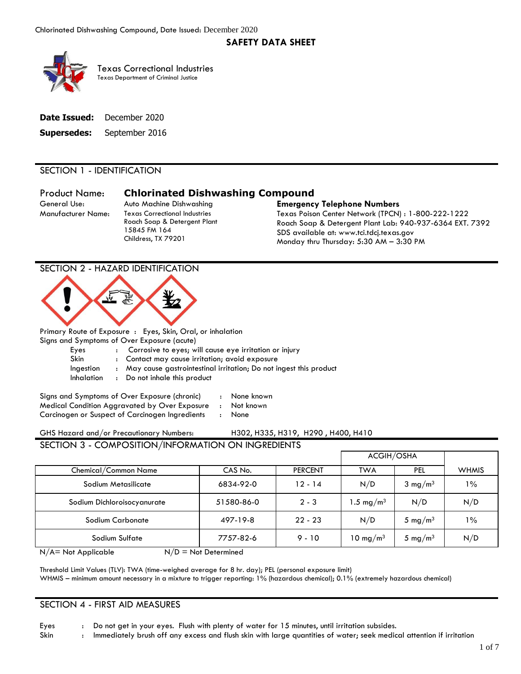# **SAFETY DATA SHEET**



 Texas Department of Criminal Justice Texas Correctional Industries

|             | <b>Date Issued:</b> December 2020 |
|-------------|-----------------------------------|
| Supersedes: | September 2016                    |

# SECTION 1 - IDENTIFICATION

General Use:

Product Name: **Chlorinated Dishwashing Compound** 

15845 FM 164 Childress, TX 79201

#### Auto Machine Dishwashing **Emergency Telephone Numbers**

Manufacturer Name: Texas Correctional Industries Texas Poison Center Network (TPCN) : 1-800-222-1222 Roach Soap & Detergent Plant Lab: 940-937-6364 EXT. 7392 SDS available at:<www.tci.tdcj.texas.gov><br>Monday thru Thursday: 5:30 AM – 3:30 PM

# SECTION 2 - HAZARD IDENTIFICATION



Primary Route of Exposure : Eyes, Skin, Oral, or inhalation

Signs and Symptoms of Over Exposure (acute)

| Eyes |  |  |  | Corrosive to eyes; will cause eye irritation or injury |  |
|------|--|--|--|--------------------------------------------------------|--|
|------|--|--|--|--------------------------------------------------------|--|

Skin : Contact may cause irritation; avoid exposure

- Ingestion : May cause gastrointestinal irritation; Do not ingest this product
- Inhalation : Do not inhale this product

Signs and Symptoms of Over Exposure (chronic) : None known Medical Condition Aggravated by Over Exposure : Not known Carcinogen or Suspect of Carcinogen Ingredients : None

| GHS Hazard and/or Precautionary Numbers: |  | H302, H335, H319, H290, H400, H410 |  |
|------------------------------------------|--|------------------------------------|--|
|                                          |  |                                    |  |

 SECTION 3 - COMPOSITION/INFORMATION ON INGREDIENTS ACGIH/OSHA Chemical/Common Name | CAS No. | PERCENT | TWA | PEL | WHMIS Sodium Metasilicate 6834-92-0 12 - 14 N/D 3 mg/m3 1% Sodium Dichloroisocyanurate  $51580-86-0$   $2-3$   $1.5$  mg/m<sup>3</sup>  $\vert$  N/D  $\vert$  N/D Sodium Carbonate  $\begin{vmatrix} 497-19-8 & 22-23 & \ N/D & 5 \text{ mg/m}^3 & 1\% \end{vmatrix}$ Sodium Sulfate  $\vert$  7757-82-6  $\vert$  9 - 10  $\vert$  10 mg/m<sup>3</sup>  $\vert$  5 mg/m<sup>3</sup>  $\vert$  N/D

 $N/A$  = Not Applicable  $N/D$  = Not Determined

 Threshold Limit Values (TLV): TWA (time-weighed average for 8 hr. day); PEL (personal exposure limit) WHMIS – minimum amount necessary in a mixture to trigger reporting: 1% (hazardous chemical); 0.1% (extremely hazardous chemical)

#### SECTION 4 - FIRST AID MEASURES

Eyes : Do not get in your eyes. Flush with plenty of water for 15 minutes, until irritation subsides.

Skin : Immediately brush off any excess and flush skin with large quantities of water; seek medical attention if irritation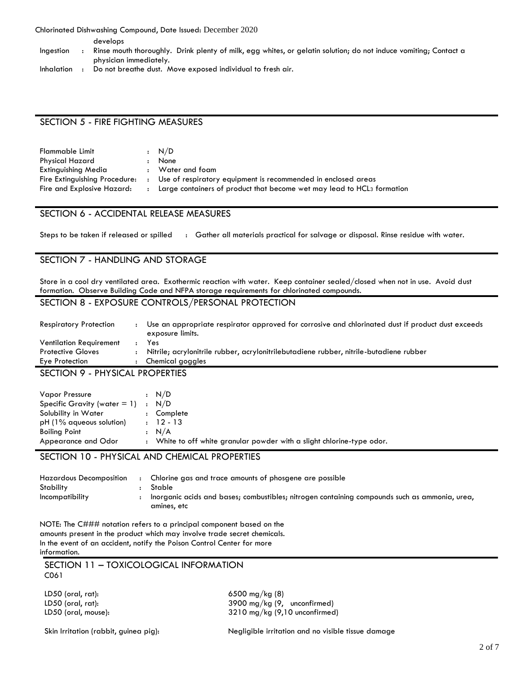Chlorinated Dishwashing Compound, Date Issued: December 2020

develops

- Ingestion : Rinse mouth thoroughly. Drink plenty of milk, egg whites, or gelatin solution; do not induce vomiting; Contact a physician immediately.
- Inhalation : Do not breathe dust. Move exposed individual to fresh air.

### SECTION 5 - FIRE FIGHTING MEASURES

| Flammable Limit               | : N/D                                                                              |
|-------------------------------|------------------------------------------------------------------------------------|
| Physical Hazard               | None                                                                               |
| Extinguishing Media           | Water and foam                                                                     |
| Fire Extinguishing Procedure: | Use of respiratory equipment is recommended in enclosed areas                      |
| Fire and Explosive Hazard:    | Large containers of product that become wet may lead to HCL <sub>3</sub> formation |

### SECTION 6 - ACCIDENTAL RELEASE MEASURES

Steps to be taken if released or spilled  $\cdot$  Gather all materials practical for salvage or disposal. Rinse residue with water.

# SECTION 7 - HANDLING AND STORAGE

Store in a cool dry ventilated area. Exothermic reaction with water. Keep container sealed/closed when not in use. Avoid dust formation. Observe Building Code and NFPA storage requirements for chlorinated compounds.

# SECTION 8 - EXPOSURE CONTROLS/PERSONAL PROTECTION

| $- - - - - - - - -$<br>--------- |                                                                                                                       |
|----------------------------------|-----------------------------------------------------------------------------------------------------------------------|
| Eye Protection                   | Chemical goggles                                                                                                      |
| <b>Protective Gloves</b>         | Nitrile; acrylonitrile rubber, acrylonitrilebutadiene rubber, nitrile-butadiene rubber                                |
| <b>Ventilation Requirement</b>   | Yes                                                                                                                   |
| <b>Respiratory Protection</b>    | Use an appropriate respirator approved for corrosive and chlorinated dust if product dust exceeds<br>exposure limits. |
|                                  |                                                                                                                       |

SECTION 9 - PHYSICAL PROPERTIES

| Vapor Pressure<br>Specific Gravity (water $= 1$ ) :<br>Solubility in Water<br>$pH(1\%$ agueous solution) | $\ddot{\cdot}$ | : N/D<br>N/D<br>Complete<br>$: 12 - 13$                                         |
|----------------------------------------------------------------------------------------------------------|----------------|---------------------------------------------------------------------------------|
| <b>Boiling Point</b><br>Appearance and Odor                                                              |                | : N/A<br>: White to off white granular powder with a slight chlorine-type odor. |

### SECTION 10 - PHYSICAL AND CHEMICAL PROPERTIES

| <b>Hazardous Decomposition</b> | Chlorine gas and trace amounts of phosgene are possible                                       |
|--------------------------------|-----------------------------------------------------------------------------------------------|
| Stability                      | Stable                                                                                        |
| Incompatibility                | Inorganic acids and bases; combustibles; nitrogen containing compounds such as ammonia, urea, |
|                                | amines, etc                                                                                   |

NOTE: The C### notation refers to a principal component based on the amounts present in the product which may involve trade secret chemicals. In the event of an accident, notify the Poison Control Center for more information.

 SECTION 11 – TOXICOLOGICAL INFORMATION C061

LD50 (oral, rat): 6500 mg/kg (8)

LD50 (oral, rat): 3900 mg/kg (9, unconfirmed) LD50 (oral, mouse): 3210 mg/kg (9,10 unconfirmed)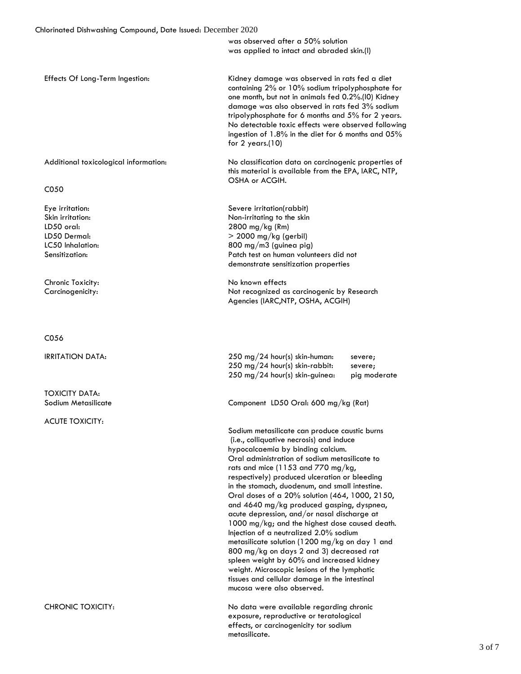was observed after a 50% solution was applied to intact and abraded skin.(l)

Effects Of Long-Term Ingestion: Kidney damage was observed in rats fed a diet containing 2% or 10% sodium tripolyphosphate for one month, but not in animals fed 0.2%.(l0) Kidney damage was also observed in rats fed 3% sodium tripolyphosphate for 6 months and 5% for 2 years. No detectable toxic effects were observed following ingestion of 1.8% in the diet for 6 months and 05% for 2 years.(10)

C050

Chronic Toxicity: No known effects

C056

TOXICITY DATA:

ACUTE TOXICITY:

 Additional toxicological information: No classification data on carcinogenic properties of this material is available from the EPA, IARC, NTP, OSHA or ACGIH.

Eye irritation: Severe irritation(rabbit) Skin irritation: Non-irritating to the skin LD50 oral: 2800 mg/kg (Rm) LD50 Dermal:  $> 2000 \text{ mg/kg (gerbil)}$ LC50 Inhalation: 800 mg/m3 (guinea pig) Sensitization: Patch test on human volunteers did not demonstrate sensitization properties

Carcinogenicity: Not recognized as carcinogenic by Research Agencies (IARC,NTP, OSHA, ACGIH)

IRRITATION DATA: 250 mg/24 hour(s) skin-human: severe; 250 mg/24 hour(s) skin-rabbit: severe; 250 mg/24 hour(s) skin-guinea: pig moderate

Sodium Metasilicate Component LD50 Oral: 600 mg/kg (Rat)

Sodium metasilicate can produce caustic burns (i.e., colliquative necrosis) and induce hypocalcaemia by binding calcium. Oral administration of sodium metasilicate to rats and mice (1153 and 770 mg/kg, respectively) produced ulceration or bleeding in the stomach, duodenum, and small intestine. Oral doses of a 20% solution (464, 1000, 2150, and 4640 mg/kg produced gasping, dyspnea, acute depression, and/or nasal discharge at 1000 mg/kg; and the highest dose caused death. Injection of a neutralized 2.0% sodium metasilicate solution (1200 mg/kg on day 1 and 800 mg/kg on days 2 and 3) decreased rat spleen weight by 60% and increased kidney weight. Microscopic lesions of the lymphatic tissues and cellular damage in the intestinal mucosa were also observed.

CHRONIC TOXICITY: No data were available regarding chronic exposure, reproductive or teratological effects, or carcinogenicity tor sodium metasilicate.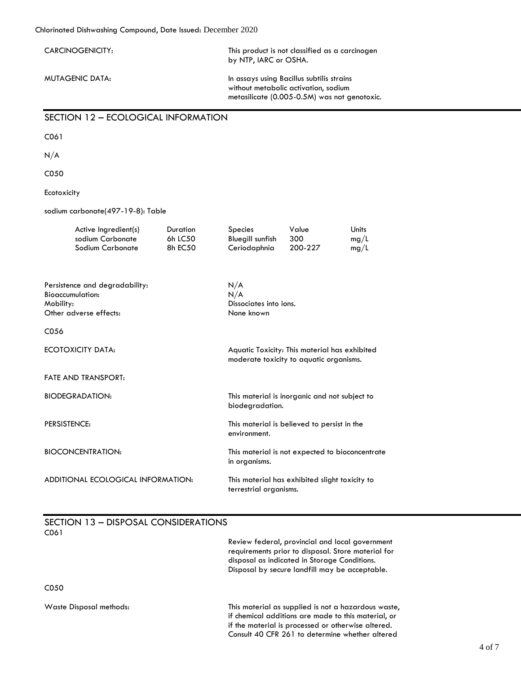| niorinarea Disnwashing Compound, Dare issued: December 2020                                      |                                                                                                                                   |                                                    |                                                                                          |                              |
|--------------------------------------------------------------------------------------------------|-----------------------------------------------------------------------------------------------------------------------------------|----------------------------------------------------|------------------------------------------------------------------------------------------|------------------------------|
| CARCINOGENICITY:                                                                                 | This product is not classified as a carcinogen<br>by NTP, IARC or OSHA.                                                           |                                                    |                                                                                          |                              |
| <b>MUTAGENIC DATA:</b>                                                                           | In assays using Bacillus subtilis strains<br>without metabolic activation, sodium<br>metasilicate (0.005-0.5M) was not genotoxic. |                                                    |                                                                                          |                              |
| SECTION 12 - ECOLOGICAL INFORMATION                                                              |                                                                                                                                   |                                                    |                                                                                          |                              |
| C061                                                                                             |                                                                                                                                   |                                                    |                                                                                          |                              |
| N/A                                                                                              |                                                                                                                                   |                                                    |                                                                                          |                              |
| C050                                                                                             |                                                                                                                                   |                                                    |                                                                                          |                              |
| Ecotoxicity                                                                                      |                                                                                                                                   |                                                    |                                                                                          |                              |
| sodium carbonate(497-19-8): Table                                                                |                                                                                                                                   |                                                    |                                                                                          |                              |
| Active Ingredient(s)<br>sodium Carbonate<br>Sodium Carbonate                                     | <b>Duration</b><br>6h LC50<br>8h EC50                                                                                             | Species<br><b>Bluegill sunfish</b><br>Ceriodaphnia | Value<br>300<br>200-227                                                                  | <b>Units</b><br>mg/L<br>mg/L |
| Persistence and degradability:<br><b>Bioaccumulation:</b><br>Mobility:<br>Other adverse effects: |                                                                                                                                   | N/A<br>N/A<br>Dissociates into ions.<br>None known |                                                                                          |                              |
| C056                                                                                             |                                                                                                                                   |                                                    |                                                                                          |                              |
| ECOTOXICITY DATA:                                                                                |                                                                                                                                   |                                                    | Aquatic Toxicity: This material has exhibited<br>moderate toxicity to aquatic organisms. |                              |
| <b>FATE AND TRANSPORT:</b>                                                                       |                                                                                                                                   |                                                    |                                                                                          |                              |
| <b>BIODEGRADATION:</b>                                                                           |                                                                                                                                   | biodegradation.                                    | This material is inorganic and not subject to                                            |                              |
| PERSISTENCE:                                                                                     |                                                                                                                                   | environment.                                       | This material is believed to persist in the                                              |                              |
| <b>BIOCONCENTRATION:</b>                                                                         |                                                                                                                                   | in organisms.                                      | This material is not expected to bioconcentrate                                          |                              |

ADDITIONAL ECOLOGICAL INFORMATION: This material has exhibited slight toxicity to terrestrial organisms.

# SECTION 13 – DISPOSAL CONSIDERATIONS C061

|                         | Review federal, provincial and local government<br>requirements prior to disposal. Store material for<br>disposal as indicated in Storage Conditions.<br>Disposal by secure landfill may be acceptable.             |
|-------------------------|---------------------------------------------------------------------------------------------------------------------------------------------------------------------------------------------------------------------|
| C <sub>050</sub>        |                                                                                                                                                                                                                     |
| Waste Disposal methods: | This material as supplied is not a hazardous waste,<br>if chemical additions are made to this material, or<br>if the material is processed or otherwise altered.<br>Consult 40 CFR 261 to determine whether altered |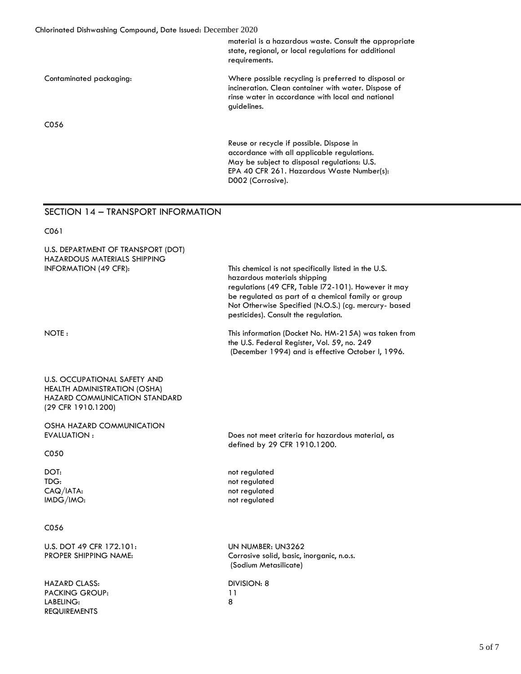material is a hazardous waste. Consult the appropriate state, regional, or local regulations for additional requirements.

| Contaminated packaging: | Where possible recycling is preferred to disposal or |
|-------------------------|------------------------------------------------------|
|                         | incineration. Clean container with water. Dispose of |
|                         | rinse water in accordance with local and national    |
|                         | quidelines.                                          |

C056

Reuse or recycle if possible. Dispose in accordance with all applicable regulations. May be subject to disposal regulations: U.S. EPA 40 CFR 261. Hazardous Waste Number(s): D002 (Corrosive).

# SECTION 14 – TRANSPORT INFORMATION

C061

 U.S. DEPARTMENT OF TRANSPORT (DOT) HAZARDOUS MATERIALS SHIPPING INFORMATION (49 CFR): This chemical is not specifically listed in the U.S. hazardous materials shipping regulations (49 CFR, Table l72-101). However it may be regulated as part of a chemical family or group Not Otherwise Specified (N.O.S.) (cg. mercury- based pesticides). Consult the regulation. NOTE : This information (Docket No. HM-215A) was taken from the U.S. Federal Register, Vol. 59, no. 249 (December 1994) and is effective October l, 1996. U.S. OCCUPATIONAL SAFETY AND HEALTH ADMINISTRATION (OSHA) HAZARD COMMUNICATION STANDARD (29 CFR 1910.1200) OSHA HAZARD COMMUNICATION EVALUATION : C050 Does not meet criteria for hazardous material, as defined by 29 CFR 1910.1200. DOT: TDG: CAQ/IATA: IMDG/IMO: not regulated not regulated not regulated not regulated C056 U.S. DOT 49 CFR 172.101: PROPER SHIPPING NAME: UN NUMBER: UN3262 Corrosive solid, basic, inorganic, n.o.s. (Sodium Metasilicate) HAZARD CLASS: PACKING GROUP: LABELING: REQUIREMENTS DIVISION: 8 11 8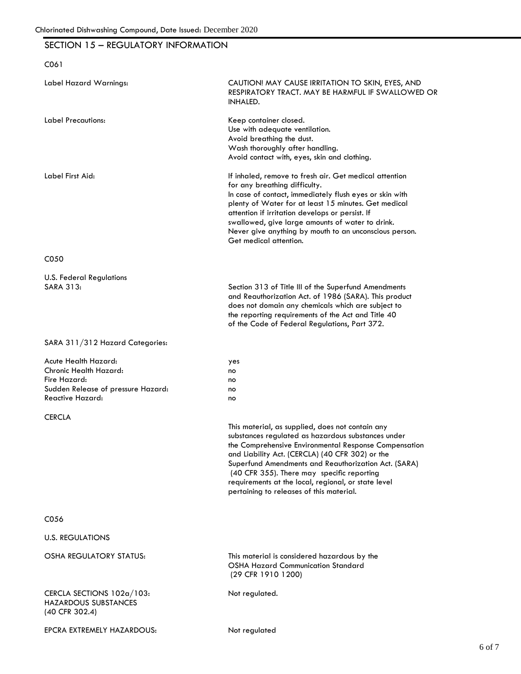# SECTION 15 – REGULATORY INFORMATION

| C061                                                                                                                            |                                                                                                                                                                                                                                                                                                                                                                                                                             |
|---------------------------------------------------------------------------------------------------------------------------------|-----------------------------------------------------------------------------------------------------------------------------------------------------------------------------------------------------------------------------------------------------------------------------------------------------------------------------------------------------------------------------------------------------------------------------|
| Label Hazard Warnings:                                                                                                          | CAUTION! MAY CAUSE IRRITATION TO SKIN, EYES, AND<br>RESPIRATORY TRACT. MAY BE HARMFUL IF SWALLOWED OR<br><b>INHALED.</b>                                                                                                                                                                                                                                                                                                    |
| Label Precautions:                                                                                                              | Keep container closed.<br>Use with adequate ventilation.<br>Avoid breathing the dust.<br>Wash thoroughly after handling.<br>Avoid contact with, eyes, skin and clothing.                                                                                                                                                                                                                                                    |
| Label First Aid:                                                                                                                | If inhaled, remove to fresh air. Get medical attention<br>for any breathing difficulty.<br>In case of contact, immediately flush eyes or skin with<br>plenty of Water for at least 15 minutes. Get medical<br>attention if irritation develops or persist. If<br>swallowed, give large amounts of water to drink.<br>Never give anything by mouth to an unconscious person.<br>Get medical attention.                       |
| C050                                                                                                                            |                                                                                                                                                                                                                                                                                                                                                                                                                             |
| <b>U.S. Federal Regulations</b><br><b>SARA 313:</b>                                                                             | Section 313 of Title III of the Superfund Amendments<br>and Reauthorization Act. of 1986 (SARA). This product<br>does not domain any chemicals which are subject to<br>the reporting requirements of the Act and Title 40<br>of the Code of Federal Regulations, Part 372.                                                                                                                                                  |
| SARA 311/312 Hazard Categories:                                                                                                 |                                                                                                                                                                                                                                                                                                                                                                                                                             |
| Acute Health Hazard:<br>Chronic Health Hazard:<br>Fire Hazard:<br>Sudden Release of pressure Hazard:<br><b>Reactive Hazard:</b> | yes<br>no<br>no<br>no<br>no                                                                                                                                                                                                                                                                                                                                                                                                 |
| <b>CERCLA</b>                                                                                                                   |                                                                                                                                                                                                                                                                                                                                                                                                                             |
|                                                                                                                                 | This material, as supplied, does not contain any<br>substances regulated as hazardous substances under<br>the Comprehensive Environmental Response Compensation<br>and Liability Act. (CERCLA) (40 CFR 302) or the<br>Superfund Amendments and Reauthorization Act. (SARA)<br>(40 CFR 355). There may specific reporting<br>requirements at the local, regional, or state level<br>pertaining to releases of this material. |
| C056                                                                                                                            |                                                                                                                                                                                                                                                                                                                                                                                                                             |
| <b>U.S. REGULATIONS</b>                                                                                                         |                                                                                                                                                                                                                                                                                                                                                                                                                             |
| OSHA REGULATORY STATUS:                                                                                                         | This material is considered hazardous by the<br><b>OSHA Hazard Communication Standard</b><br>(29 CFR 1910 1200)                                                                                                                                                                                                                                                                                                             |
| CERCLA SECTIONS 102a/103:<br><b>HAZARDOUS SUBSTANCES</b><br>(40 CFR 302.4)                                                      | Not regulated.                                                                                                                                                                                                                                                                                                                                                                                                              |
| EPCRA EXTREMELY HAZARDOUS:                                                                                                      | Not regulated                                                                                                                                                                                                                                                                                                                                                                                                               |